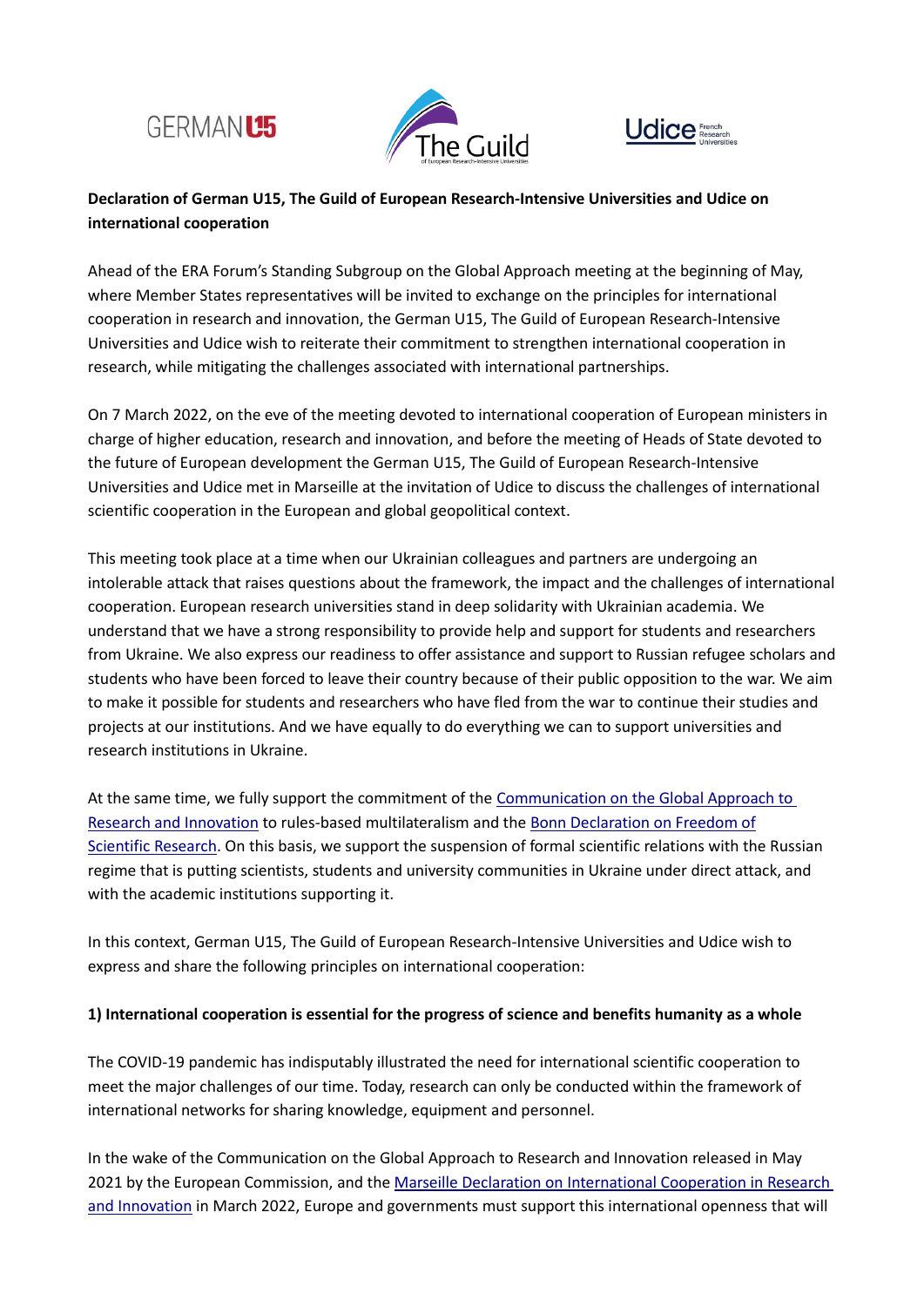





## **Declaration of German U15, The Guild of European Research-Intensive Universities and Udice on international cooperation**

Ahead of the ERA Forum's Standing Subgroup on the Global Approach meeting at the beginning of May, where Member States representatives will be invited to exchange on the principles for international cooperation in research and innovation, the German U15, The Guild of European Research-Intensive Universities and Udice wish to reiterate their commitment to strengthen international cooperation in research, while mitigating the challenges associated with international partnerships.

On 7 March 2022, on the eve of the meeting devoted to international cooperation of European ministers in charge of higher education, research and innovation, and before the meeting of Heads of State devoted to the future of European development the German U15, The Guild of European Research-Intensive Universities and Udice met in Marseille at the invitation of Udice to discuss the challenges of international scientific cooperation in the European and global geopolitical context.

This meeting took place at a time when our Ukrainian colleagues and partners are undergoing an intolerable attack that raises questions about the framework, the impact and the challenges of international cooperation. European research universities stand in deep solidarity with Ukrainian academia. We understand that we have a strong responsibility to provide help and support for students and researchers from Ukraine. We also express our readiness to offer assistance and support to Russian refugee scholars and students who have been forced to leave their country because of their public opposition to the war. We aim to make it possible for students and researchers who have fled from the war to continue their studies and projects at our institutions. And we have equally to do everything we can to support universities and research institutions in Ukraine.

At the same time, we fully support the commitment of the [Communication on the Global Approach to](https://ec.europa.eu/info/files/communication-global-approach-research-and-innovation_en)  [Research and Innovation](https://ec.europa.eu/info/files/communication-global-approach-research-and-innovation_en) to rules-based multilateralism and th[e Bonn Declaration on Freedom of](https://www.bmbf.de/bmbf/shareddocs/downloads/files/_drp-efr-bonner_erklaerung_en_with-signatures_maerz_2021.pdf?__blob=publicationFile&v=1) [Scientific Research.](https://www.bmbf.de/bmbf/shareddocs/downloads/files/_drp-efr-bonner_erklaerung_en_with-signatures_maerz_2021.pdf?__blob=publicationFile&v=1) On this basis, we support the suspension of formal scientific relations with the Russian regime that is putting scientists, students and university communities in Ukraine under direct attack, and with the academic institutions supporting it.

In this context, German U15, The Guild of European Research-Intensive Universities and Udice wish to express and share the following principles on international cooperation:

## **1) International cooperation is essential for the progress of science and benefits humanity as a whole**

The COVID-19 pandemic has indisputably illustrated the need for international scientific cooperation to meet the major challenges of our time. Today, research can only be conducted within the framework of international networks for sharing knowledge, equipment and personnel.

In the wake of the Communication on the Global Approach to Research and Innovation released in May 2021 by the European Commission, and the Marseille Declaration on International Cooperation in Research [and Innovation](https://presidence-francaise.consilium.europa.eu/media/xi1khxzg/marseille-declaration.pdf) in March 2022, Europe and governments must support this international openness that will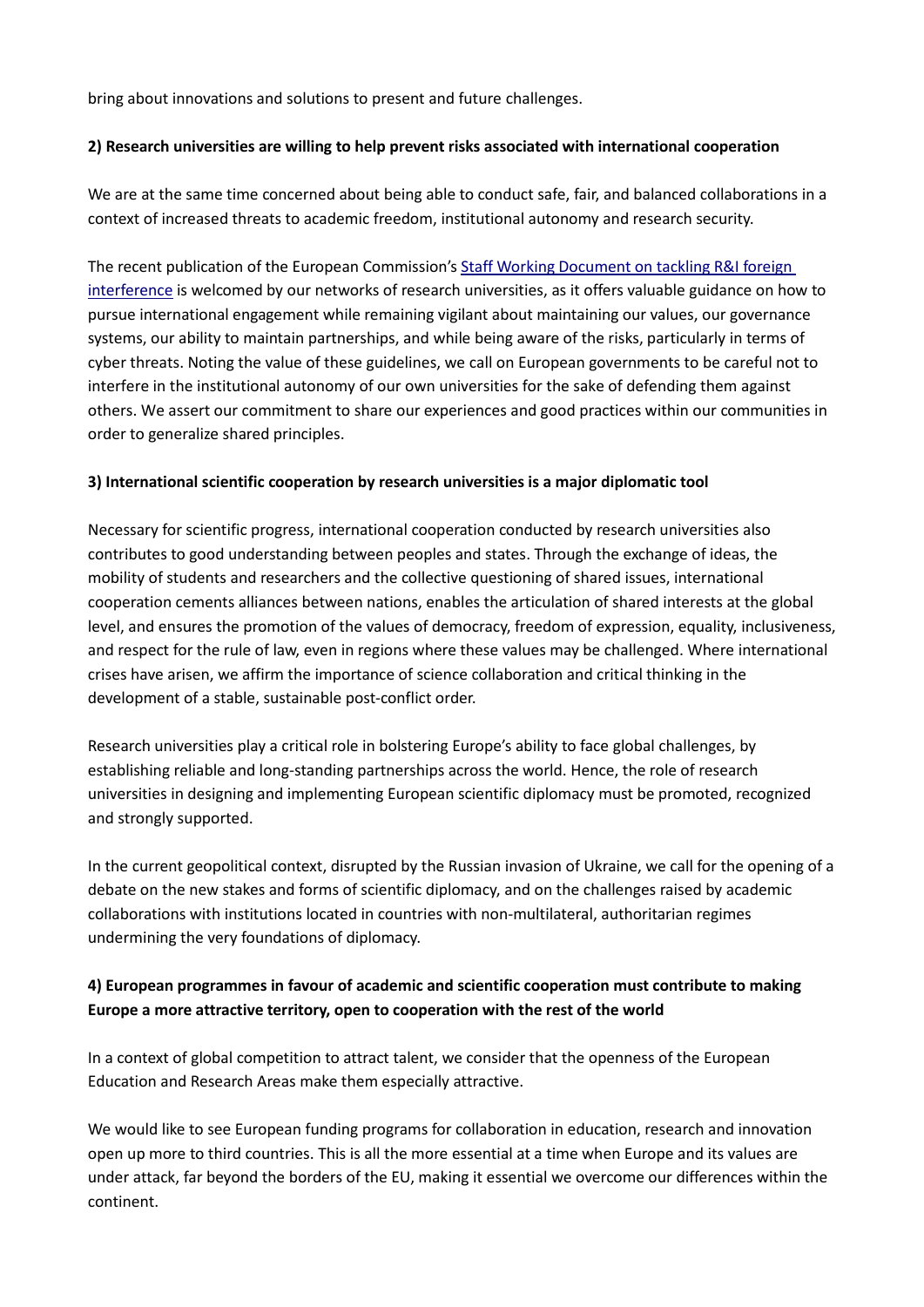bring about innovations and solutions to present and future challenges.

## **2) Research universities are willing to help prevent risks associated with international cooperation**

We are at the same time concerned about being able to conduct safe, fair, and balanced collaborations in a context of increased threats to academic freedom, institutional autonomy and research security.

The recent publication of the European Commission's [Staff Working Document on tackling R&I foreign](https://op.europa.eu/en/web/eu-law-and-publications/publication-detail/-/publication/3faf52e8-79a2-11ec-9136-01aa75ed71a1)  [interference](https://op.europa.eu/en/web/eu-law-and-publications/publication-detail/-/publication/3faf52e8-79a2-11ec-9136-01aa75ed71a1) is welcomed by our networks of research universities, as it offers valuable guidance on how to pursue international engagement while remaining vigilant about maintaining our values, our governance systems, our ability to maintain partnerships, and while being aware of the risks, particularly in terms of cyber threats. Noting the value of these guidelines, we call on European governments to be careful not to interfere in the institutional autonomy of our own universities for the sake of defending them against others. We assert our commitment to share our experiences and good practices within our communities in order to generalize shared principles.

#### **3) International scientific cooperation by research universities is a major diplomatic tool**

Necessary for scientific progress, international cooperation conducted by research universities also contributes to good understanding between peoples and states. Through the exchange of ideas, the mobility of students and researchers and the collective questioning of shared issues, international cooperation cements alliances between nations, enables the articulation of shared interests at the global level, and ensures the promotion of the values of democracy, freedom of expression, equality, inclusiveness, and respect for the rule of law, even in regions where these values may be challenged. Where international crises have arisen, we affirm the importance of science collaboration and critical thinking in the development of a stable, sustainable post-conflict order.

Research universities play a critical role in bolstering Europe's ability to face global challenges, by establishing reliable and long-standing partnerships across the world. Hence, the role of research universities in designing and implementing European scientific diplomacy must be promoted, recognized and strongly supported.

In the current geopolitical context, disrupted by the Russian invasion of Ukraine, we call for the opening of a debate on the new stakes and forms of scientific diplomacy, and on the challenges raised by academic collaborations with institutions located in countries with non-multilateral, authoritarian regimes undermining the very foundations of diplomacy.

## **4) European programmes in favour of academic and scientific cooperation must contribute to making Europe a more attractive territory, open to cooperation with the rest of the world**

In a context of global competition to attract talent, we consider that the openness of the European Education and Research Areas make them especially attractive.

We would like to see European funding programs for collaboration in education, research and innovation open up more to third countries. This is all the more essential at a time when Europe and its values are under attack, far beyond the borders of the EU, making it essential we overcome our differences within the continent.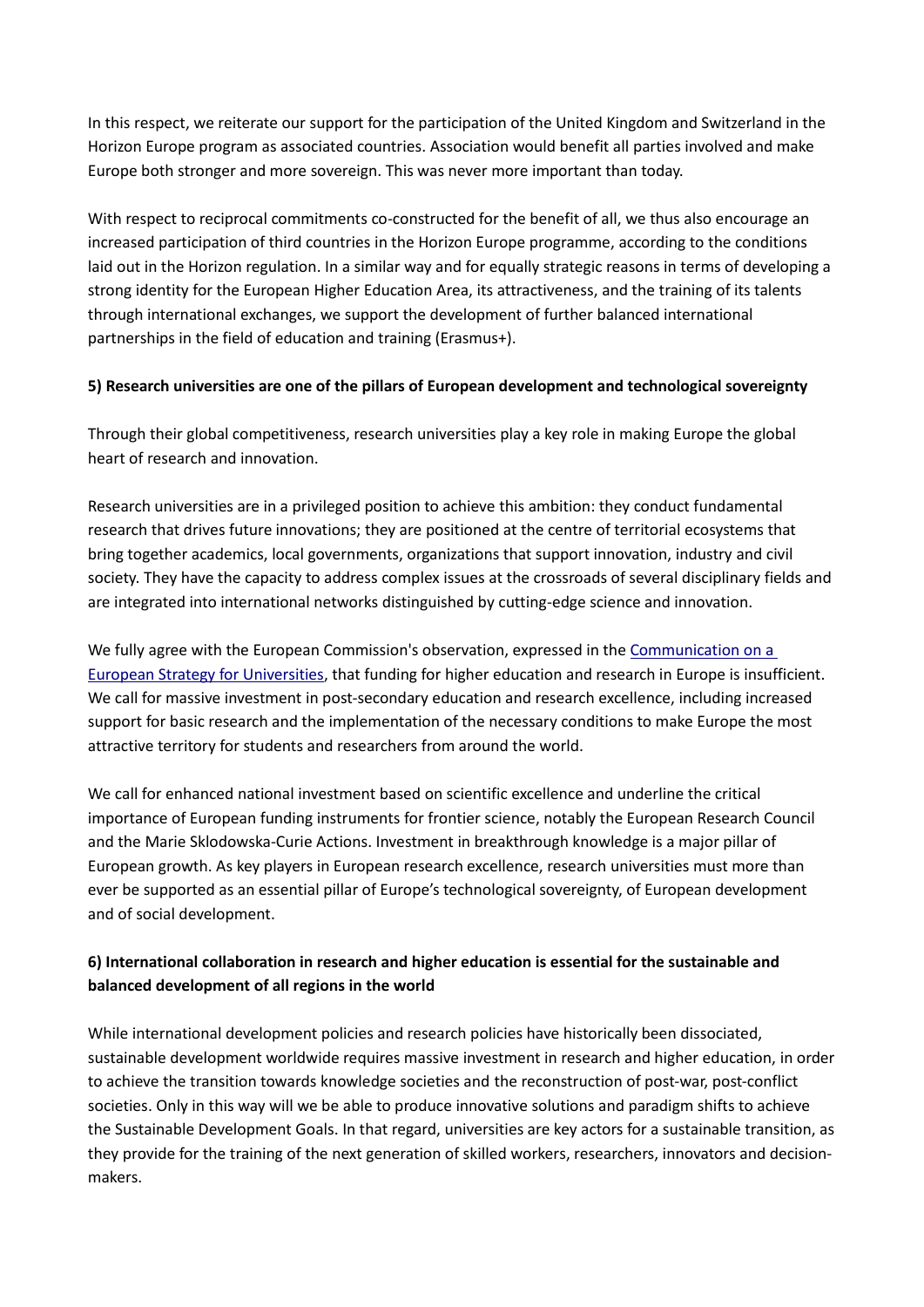In this respect, we reiterate our support for the participation of the United Kingdom and Switzerland in the Horizon Europe program as associated countries. Association would benefit all parties involved and make Europe both stronger and more sovereign. This was never more important than today.

With respect to reciprocal commitments co-constructed for the benefit of all, we thus also encourage an increased participation of third countries in the Horizon Europe programme, according to the conditions laid out in the Horizon regulation. In a similar way and for equally strategic reasons in terms of developing a strong identity for the European Higher Education Area, its attractiveness, and the training of its talents through international exchanges, we support the development of further balanced international partnerships in the field of education and training (Erasmus+).

## **5) Research universities are one of the pillars of European development and technological sovereignty**

Through their global competitiveness, research universities play a key role in making Europe the global heart of research and innovation.

Research universities are in a privileged position to achieve this ambition: they conduct fundamental research that drives future innovations; they are positioned at the centre of territorial ecosystems that bring together academics, local governments, organizations that support innovation, industry and civil society. They have the capacity to address complex issues at the crossroads of several disciplinary fields and are integrated into international networks distinguished by cutting-edge science and innovation.

We fully agree with the European Commission's observation, expressed in the [Communication on a](https://education.ec.europa.eu/document/commission-communication-on-a-european-strategy-for-universities)  [European Strategy for Universities,](https://education.ec.europa.eu/document/commission-communication-on-a-european-strategy-for-universities) that funding for higher education and research in Europe is insufficient. We call for massive investment in post-secondary education and research excellence, including increased support for basic research and the implementation of the necessary conditions to make Europe the most attractive territory for students and researchers from around the world.

We call for enhanced national investment based on scientific excellence and underline the critical importance of European funding instruments for frontier science, notably the European Research Council and the Marie Sklodowska-Curie Actions. Investment in breakthrough knowledge is a major pillar of European growth. As key players in European research excellence, research universities must more than ever be supported as an essential pillar of Europe's technological sovereignty, of European development and of social development.

# **6) International collaboration in research and higher education is essential for the sustainable and balanced development of all regions in the world**

While international development policies and research policies have historically been dissociated, sustainable development worldwide requires massive investment in research and higher education, in order to achieve the transition towards knowledge societies and the reconstruction of post-war, post-conflict societies. Only in this way will we be able to produce innovative solutions and paradigm shifts to achieve the Sustainable Development Goals. In that regard, universities are key actors for a sustainable transition, as they provide for the training of the next generation of skilled workers, researchers, innovators and decisionmakers.